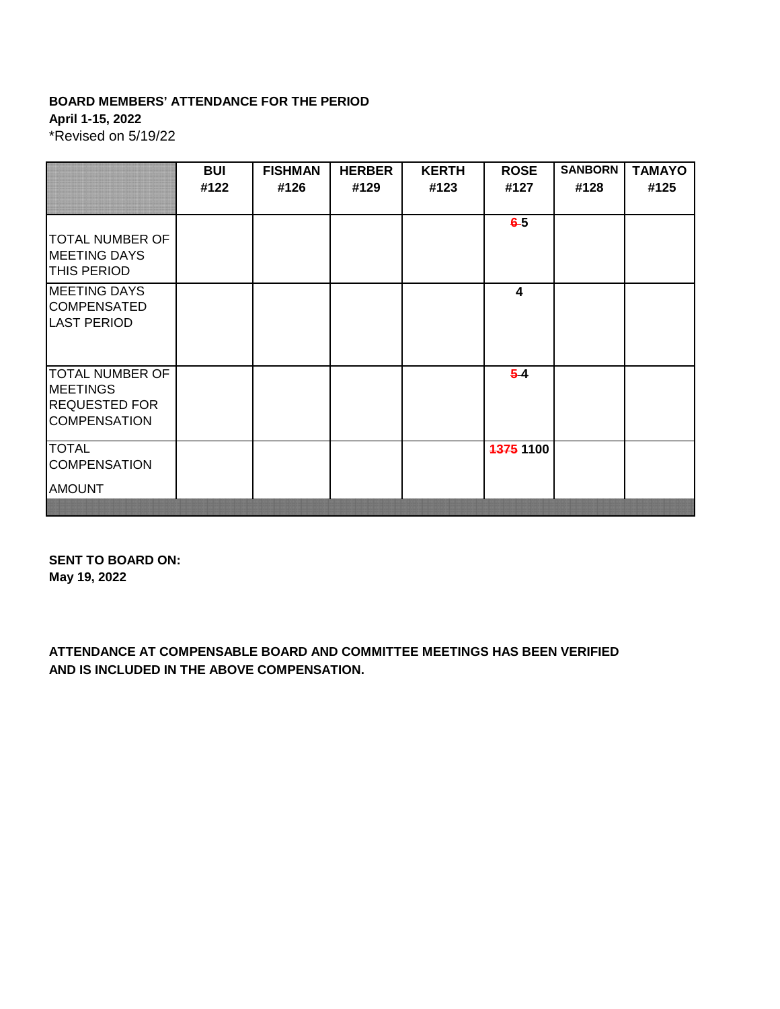# **BOARD MEMBERS' ATTENDANCE FOR THE PERIOD**

**April 1-15, 2022**

\*Revised on 5/19/22

|                                                                                          | BUI  | <b>FISHMAN</b> | <b>HERBER</b> | <b>KERTH</b> | <b>ROSE</b>             | <b>SANBORN</b> | <b>TAMAYO</b> |
|------------------------------------------------------------------------------------------|------|----------------|---------------|--------------|-------------------------|----------------|---------------|
|                                                                                          | #122 | #126           | #129          | #123         | #127                    | #128           | #125          |
| <b>TOTAL NUMBER OF</b><br><b>MEETING DAYS</b>                                            |      |                |               |              | $6-5$                   |                |               |
| <b>THIS PERIOD</b><br><b>MEETING DAYS</b><br><b>COMPENSATED</b><br><b>LAST PERIOD</b>    |      |                |               |              | $\overline{\mathbf{4}}$ |                |               |
| <b>TOTAL NUMBER OF</b><br><b>MEETINGS</b><br><b>REQUESTED FOR</b><br><b>COMPENSATION</b> |      |                |               |              | $5-4$                   |                |               |
| <b>TOTAL</b><br><b>COMPENSATION</b><br><b>AMOUNT</b>                                     |      |                |               |              | 1375 1100               |                |               |

**SENT TO BOARD ON: May 19, 2022**

**ATTENDANCE AT COMPENSABLE BOARD AND COMMITTEE MEETINGS HAS BEEN VERIFIED AND IS INCLUDED IN THE ABOVE COMPENSATION.**